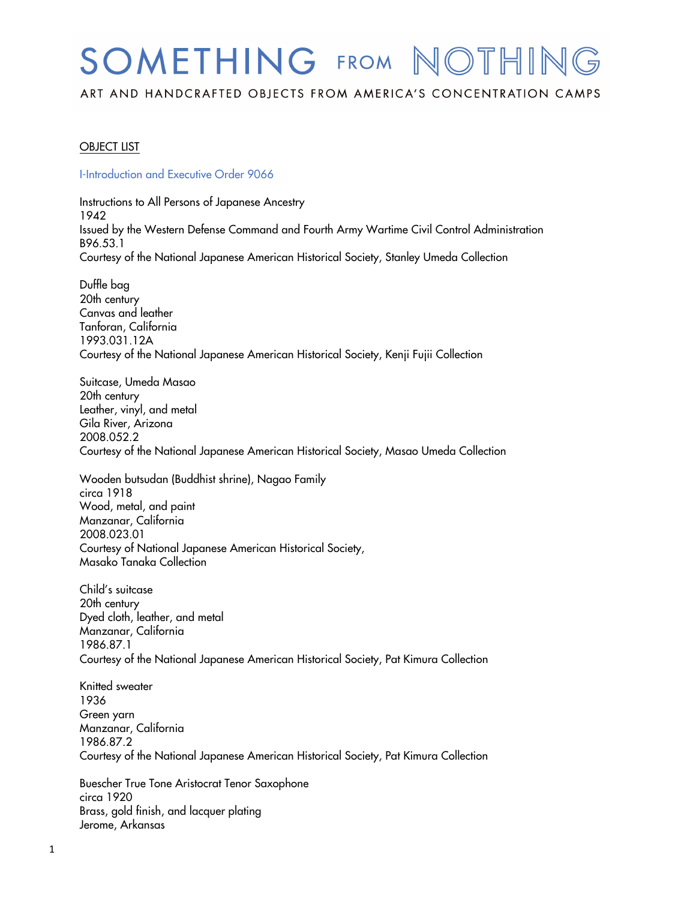# SOMETHING FROM NOTHING

ART AND HANDCRAFTED OBJECTS FROM AMERICA'S CONCENTRATION CAMPS

# OBJECT LIST

#### I-Introduction and Executive Order 9066

 Instructions to All Persons of Japanese Ancestry Issued by the Western Defense Command and Fourth Army Wartime Civil Control Administration Courtesy of the National Japanese American Historical Society, Stanley Umeda Collection 1942 B96.53.1

 20th century Canvas and leather Courtesy of the National Japanese American Historical Society, Kenji Fujii Collection Duffle bag Tanforan, California 1993.031.12A

 20th century Leather, vinyl, and metal Gila River, Arizona Courtesy of the National Japanese American Historical Society, Masao Umeda Collection Suitcase, Umeda Masao 2008.052.2

 Wooden butsudan (Buddhist shrine), Nagao Family Wood, metal, and paint Manzanar, California Courtesy of National Japanese American Historical Society, Masako Tanaka Collection circa 1918 2008.023.01

 20th century Dyed cloth, leather, and metal Courtesy of the National Japanese American Historical Society, Pat Kimura Collection Child's suitcase Manzanar, California 1986.87.1

 Courtesy of the National Japanese American Historical Society, Pat Kimura Collection Knitted sweater 1936 Green yarn Manzanar, California 1986.87.2

 Buescher True Tone Aristocrat Tenor Saxophone Brass, gold finish, and lacquer plating circa 1920 Jerome, Arkansas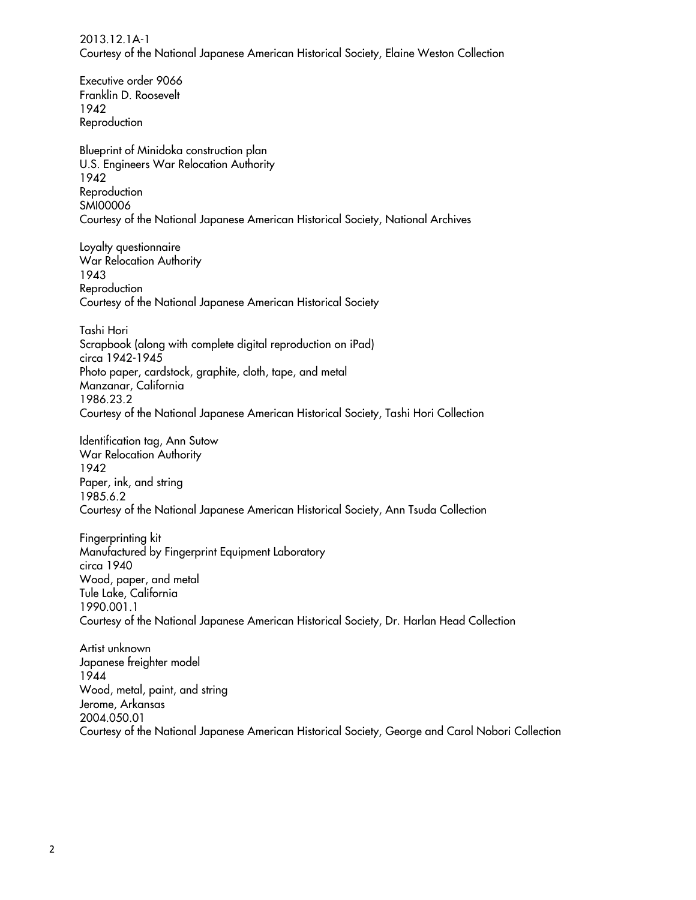Courtesy of the National Japanese American Historical Society, Elaine Weston Collection 2013.12.1A-1

Executive order 9066

 Franklin D. Roosevelt Blueprint of Minidoka construction plan U.S. Engineers War Relocation Authority Courtesy of the National Japanese American Historical Society, National Archives War Relocation Authority Courtesy of the National Japanese American Historical Society Photo paper, cardstock, graphite, cloth, tape, and metal Courtesy of the National Japanese American Historical Society, Tashi Hori Collection Identification tag, Ann Sutow War Relocation Authority Paper, ink, and string Courtesy of the National Japanese American Historical Society, Ann Tsuda Collection Manufactured by Fingerprint Equipment Laboratory Wood, paper, and metal Tule Lake, California Courtesy of the National Japanese American Historical Society, Dr. Harlan Head Collection Wood, metal, paint, and string Courtesy of the National Japanese American Historical Society, George and Carol Nobori Collection 1942 Reproduction 1942 **Reproduction** SMI00006 Loyalty questionnaire 1943 **Reproduction** Tashi Hori Scrapbook (along with complete digital reproduction on iPad) circa 1942-1945 Manzanar, California 1986.23.2 1942 1985.6.2 Fingerprinting kit circa 1940 1990.001.1 Artist unknown Japanese freighter model 1944 Jerome, Arkansas 2004.050.01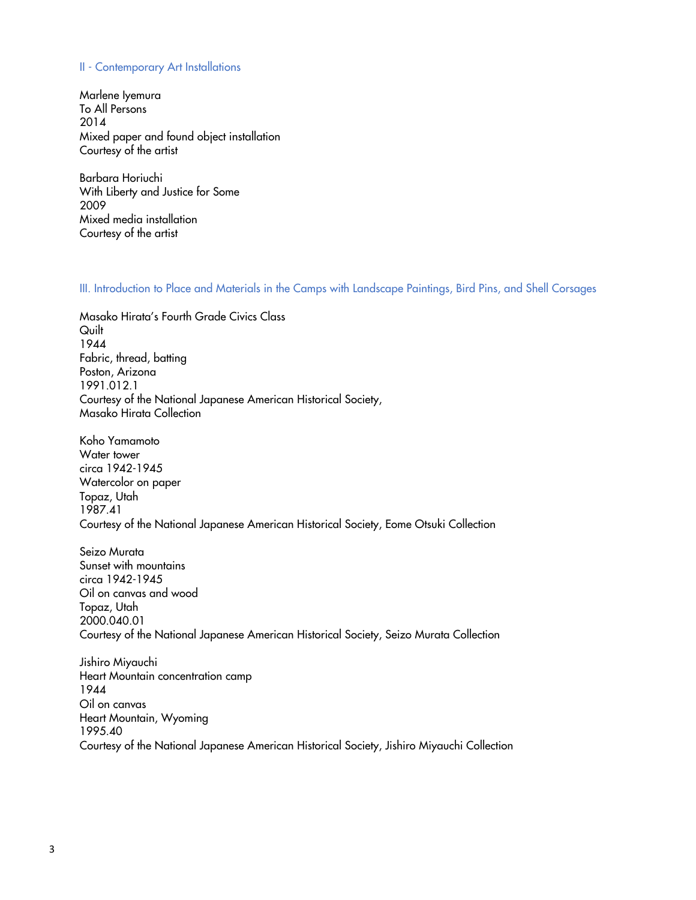#### II - Contemporary Art Installations

 To All Persons Mixed paper and found object installation Courtesy of the artist Marlene Iyemura 2014

 With Liberty and Justice for Some Mixed media installation Courtesy of the artist Barbara Horiuchi 2009

### III. Introduction to Place and Materials in the Camps with Landscape Paintings, Bird Pins, and Shell Corsages

 Masako Hirata's Fourth Grade Civics Class Fabric, thread, batting Courtesy of the National Japanese American Historical Society, Masako Hirata Collection **Quilt** 1944 Poston, Arizona 1991.012.1

 Koho Yamamoto Watercolor on paper Courtesy of the National Japanese American Historical Society, Eome Otsuki Collection Water tower circa 1942-1945 Topaz, Utah 1987.41

 Oil on canvas and wood Courtesy of the National Japanese American Historical Society, Seizo Murata Collection Seizo Murata Sunset with mountains circa 1942-1945 Topaz, Utah 2000.040.01

 Heart Mountain concentration camp Oil on canvas Heart Mountain, Wyoming Courtesy of the National Japanese American Historical Society, Jishiro Miyauchi Collection Jishiro Miyauchi 1944 1995.40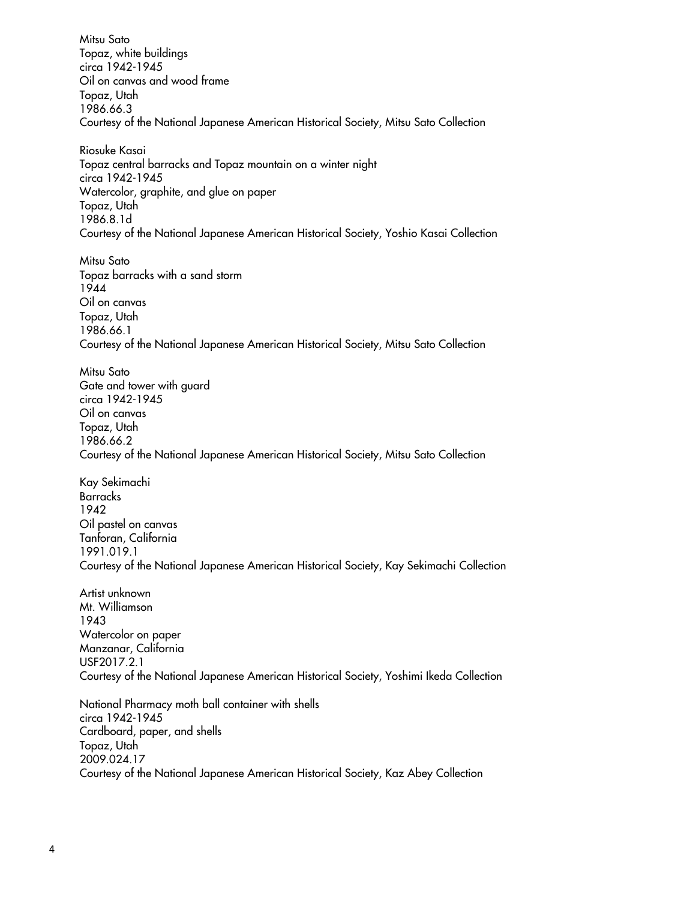Mitsu Sato Topaz, white buildings Oil on canvas and wood frame Courtesy of the National Japanese American Historical Society, Mitsu Sato Collection Topaz central barracks and Topaz mountain on a winter night Watercolor, graphite, and glue on paper Courtesy of the National Japanese American Historical Society, Yoshio Kasai Collection Topaz barracks with a sand storm Oil on canvas Courtesy of the National Japanese American Historical Society, Mitsu Sato Collection Gate and tower with guard Oil on canvas Courtesy of the National Japanese American Historical Society, Mitsu Sato Collection Oil pastel on canvas Courtesy of the National Japanese American Historical Society, Kay Sekimachi Collection Watercolor on paper Courtesy of the National Japanese American Historical Society, Yoshimi Ikeda Collection National Pharmacy moth ball container with shells Cardboard, paper, and shells Topaz, Utah circa 1942-1945 Topaz, Utah 1986.66.3 Riosuke Kasai circa 1942-1945 Topaz, Utah 1986.8.1d Mitsu Sato 1944 Topaz, Utah 1986.66.1 Mitsu Sato circa 1942-1945 Topaz, Utah 1986.66.2 Kay Sekimachi **Barracks** 1942 Tanforan, California 1991.019.1 Artist unknown Mt. Williamson 1943 Manzanar, California USF2017.2.1 circa 1942-1945 2009.024.17

Courtesy of the National Japanese American Historical Society, Kaz Abey Collection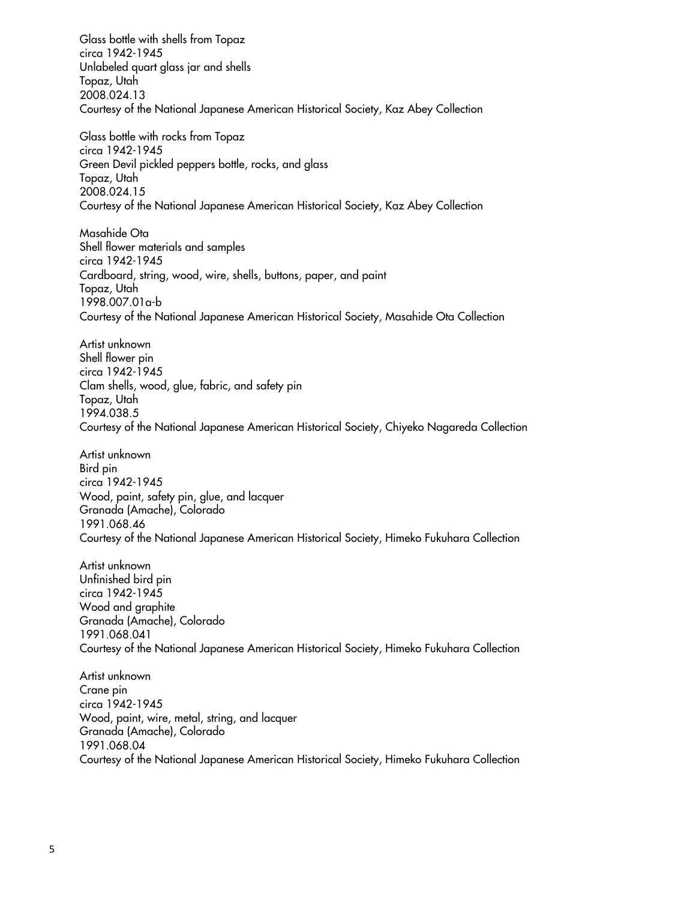Glass bottle with shells from Topaz Unlabeled quart glass jar and shells Courtesy of the National Japanese American Historical Society, Kaz Abey Collection Glass bottle with rocks from Topaz Green Devil pickled peppers bottle, rocks, and glass Topaz, Utah Courtesy of the National Japanese American Historical Society, Kaz Abey Collection Shell flower materials and samples Cardboard, string, wood, wire, shells, buttons, paper, and paint Topaz, Utah Courtesy of the National Japanese American Historical Society, Masahide Ota Collection Shell flower pin Clam shells, wood, glue, fabric, and safety pin Courtesy of the National Japanese American Historical Society, Chiyeko Nagareda Collection Wood, paint, safety pin, glue, and lacquer Granada (Amache), Colorado Courtesy of the National Japanese American Historical Society, Himeko Fukuhara Collection Wood and graphite Granada (Amache), Colorado 1991.068.041 1991.068.041<br>Courtesy of the National Japanese American Historical Society, Himeko Fukuhara Collection Wood, paint, wire, metal, string, and lacquer Granada (Amache), Colorado circa 1942-1945 Topaz, Utah 2008.024.13 circa 1942-1945 2008.024.15 Masahide Ota circa 1942-1945 1998.007.01a-b Artist unknown circa 1942-1945 Topaz, Utah 1994.038.5 Artist unknown Bird pin circa 1942-1945 1991.068.46 Artist unknown Unfinished bird pin circa 1942-1945 Artist unknown Crane pin circa 1942-1945 1991.068.04

Courtesy of the National Japanese American Historical Society, Himeko Fukuhara Collection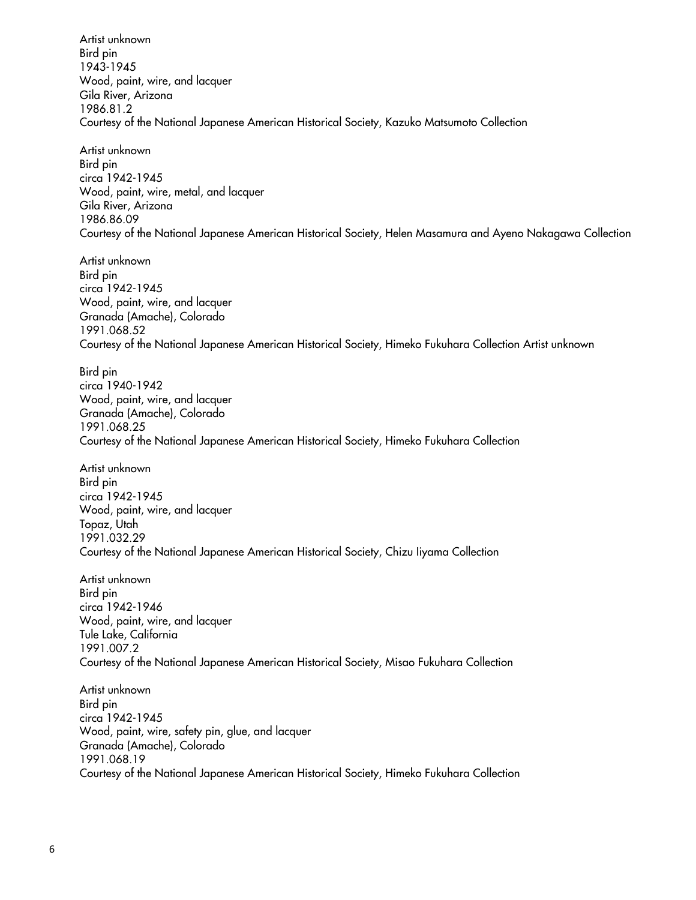Wood, paint, wire, and lacquer Gila River, Arizona Courtesy of the National Japanese American Historical Society, Kazuko Matsumoto Collection Artist unknown Bird pin 1943-1945 1986.81.2

 Artist unknown Wood, paint, wire, metal, and lacquer Gila River, Arizona Courtesy of the National Japanese American Historical Society, Helen Masamura and Ayeno Nakagawa Collection Bird pin circa 1942-1945 1986.86.09

 Wood, paint, wire, and lacquer Granada (Amache), Colorado Courtesy of the National Japanese American Historical Society, Himeko Fukuhara Collection Artist unknown Artist unknown Bird pin circa 1942-1945 1991.068.52

 Wood, paint, wire, and lacquer Granada (Amache), Colorado Courtesy of the National Japanese American Historical Society, Himeko Fukuhara Collection Bird pin circa 1940-1942 1991.068.25

 Artist unknown Wood, paint, wire, and lacquer Topaz, Utah Courtesy of the National Japanese American Historical Society, Chizu Iiyama Collection Bird pin circa 1942-1945 1991.032.29

 Artist unknown Wood, paint, wire, and lacquer Tule Lake, California Courtesy of the National Japanese American Historical Society, Misao Fukuhara Collection Bird pin circa 1942-1946 1991.007.2

 Artist unknown Wood, paint, wire, safety pin, glue, and lacquer Granada (Amache), Colorado Courtesy of the National Japanese American Historical Society, Himeko Fukuhara Collection Bird pin circa 1942-1945 1991.068.19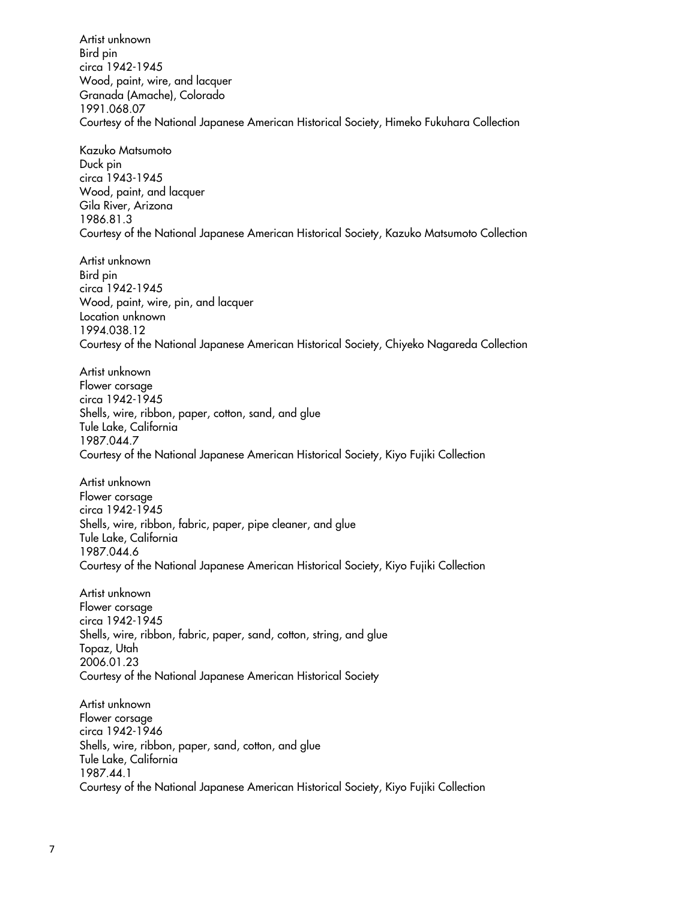Wood, paint, wire, and lacquer Granada (Amache), Colorado Courtesy of the National Japanese American Historical Society, Himeko Fukuhara Collection Duck pin Wood, paint, and lacquer Gila River, Arizona Courtesy of the National Japanese American Historical Society, Kazuko Matsumoto Collection Artist unknown Wood, paint, wire, pin, and lacquer Courtesy of the National Japanese American Historical Society, Chiyeko Nagareda Collection Artist unknown Shells, wire, ribbon, paper, cotton, sand, and glue Tule Lake, California Courtesy of the National Japanese American Historical Society, Kiyo Fujiki Collection Artist unknown Shells, wire, ribbon, fabric, paper, pipe cleaner, and glue Tule Lake, California Courtesy of the National Japanese American Historical Society, Kiyo Fujiki Collection Shells, wire, ribbon, fabric, paper, sand, cotton, string, and glue Courtesy of the National Japanese American Historical Society Shells, wire, ribbon, paper, sand, cotton, and glue Tule Lake, California Courtesy of the National Japanese American Historical Society, Kiyo Fujiki Collection Artist unknown Bird pin circa 1942-1945 1991.068.07 Kazuko Matsumoto circa 1943-1945 1986.81.3 Bird pin circa 1942-1945 Location unknown 1994.038.12 Flower corsage circa 1942-1945 1987.044.7 Flower corsage circa 1942-1945 1987.044.6 Artist unknown Flower corsage circa 1942-1945 Topaz, Utah 2006.01.23 Artist unknown Flower corsage circa 1942-1946 1987.44.1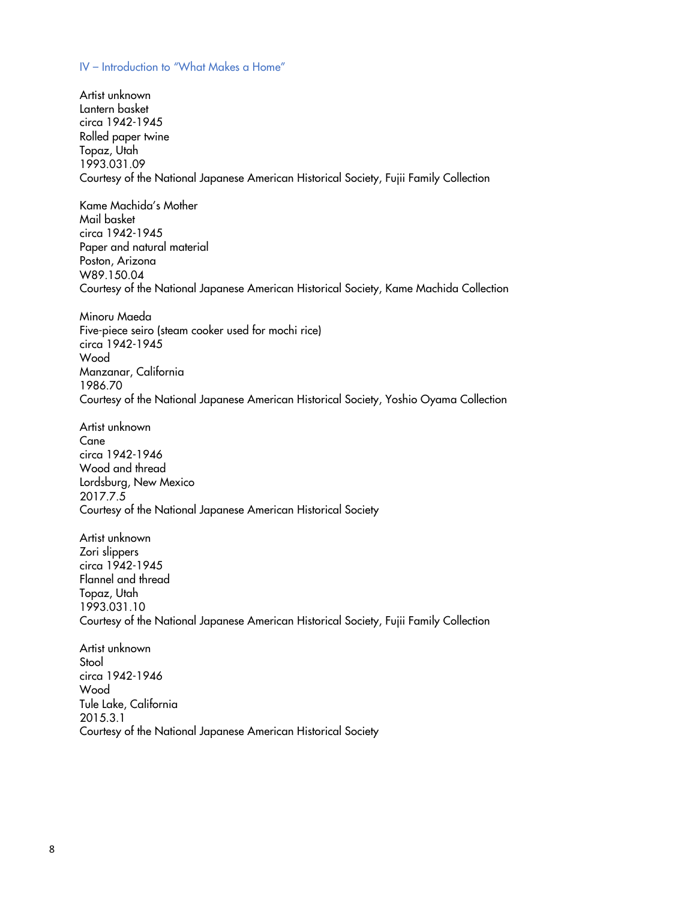#### IV – Introduction to "What Makes a Home"

 Courtesy of the National Japanese American Historical Society, Fujii Family Collection Kame Machida's Mother Paper and natural material Courtesy of the National Japanese American Historical Society, Kame Machida Collection Five-piece seiro (steam cooker used for mochi rice) Courtesy of the National Japanese American Historical Society, Yoshio Oyama Collection Wood and thread Lordsburg, New Mexico Courtesy of the National Japanese American Historical Society Flannel and thread Courtesy of the National Japanese American Historical Society, Fujii Family Collection Courtesy of the National Japanese American Historical Society Artist unknown Lantern basket circa 1942-1945 Rolled paper twine Topaz, Utah 1993.031.09 Mail basket circa 1942-1945 Poston, Arizona W89.150.04 Minoru Maeda circa 1942-1945 Wood Manzanar, California 1986.70 Artist unknown Cane circa 1942-1946 2017.7.5 Artist unknown Zori slippers circa 1942-1945 Topaz, Utah 1993.031.10 Artist unknown **Stool** circa 1942-1946 Wood Tule Lake, California 2015.3.1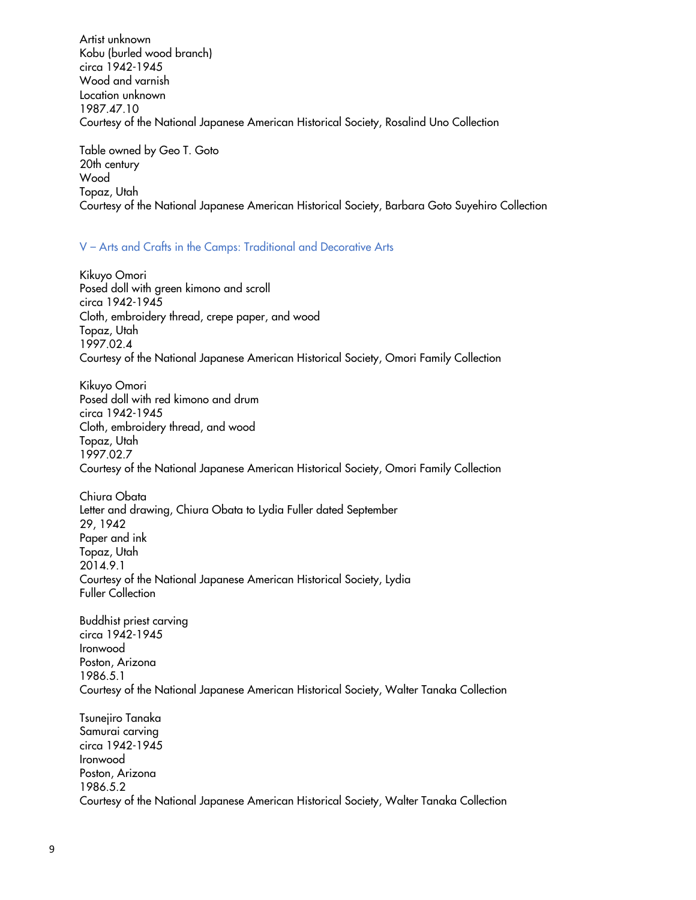Kobu (burled wood branch) Wood and varnish Courtesy of the National Japanese American Historical Society, Rosalind Uno Collection Artist unknown circa 1942-1945 Location unknown 1987.47.10

 Table owned by Geo T. Goto Courtesy of the National Japanese American Historical Society, Barbara Goto Suyehiro Collection 20th century Wood Topaz, Utah

# V – Arts and Crafts in the Camps: Traditional and Decorative Arts

 Posed doll with green kimono and scroll Cloth, embroidery thread, crepe paper, and wood Courtesy of the National Japanese American Historical Society, Omori Family Collection Kikuyo Omori circa 1942-1945 Topaz, Utah 1997.02.4

 Posed doll with red kimono and drum Cloth, embroidery thread, and wood Courtesy of the National Japanese American Historical Society, Omori Family Collection Kikuyo Omori circa 1942-1945 Topaz, Utah 1997.02.7

 Chiura Obata Letter and drawing, Chiura Obata to Lydia Fuller dated September Paper and ink Courtesy of the National Japanese American Historical Society, Lydia 29, 1942 Topaz, Utah 2014.9.1 Fuller Collection

 Buddhist priest carving Courtesy of the National Japanese American Historical Society, Walter Tanaka Collection circa 1942-1945 Ironwood Poston, Arizona 1986.5.1

 Courtesy of the National Japanese American Historical Society, Walter Tanaka Collection Tsunejiro Tanaka Samurai carving circa 1942-1945 Ironwood Poston, Arizona 1986.5.2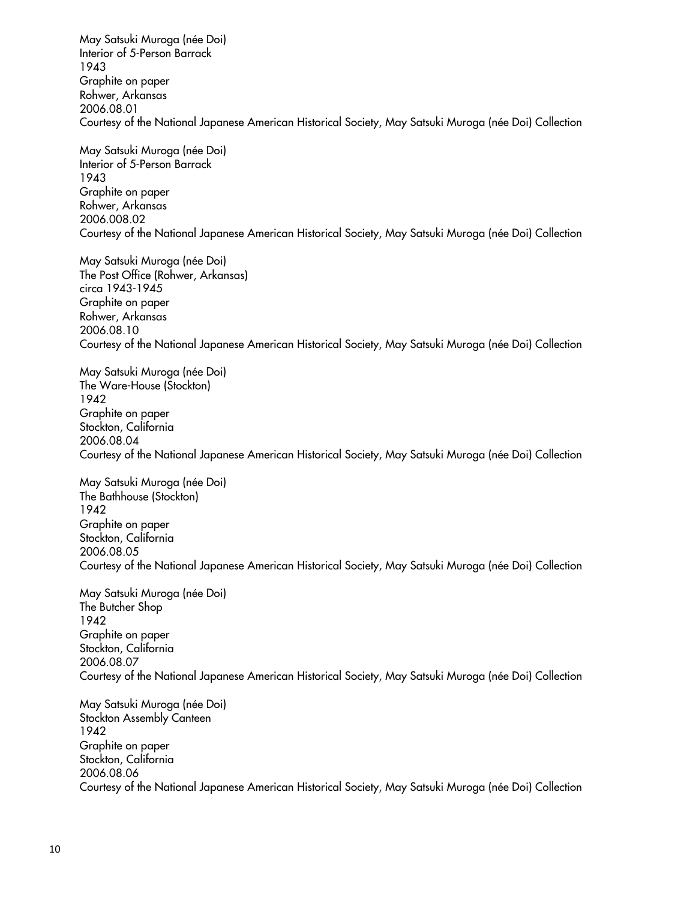May Satsuki Muroga (née Doi) Interior of 5-Person Barrack Courtesy of the National Japanese American Historical Society, May Satsuki Muroga (née Doi) Collection May Satsuki Muroga (née Doi) Interior of 5-Person Barrack 1943 Graphite on paper Rohwer, Arkansas 2006.08.01 1943

 Graphite on paper Courtesy of the National Japanese American Historical Society, May Satsuki Muroga (née Doi) Collection Rohwer, Arkansas 2006.008.02

 May Satsuki Muroga (née Doi) The Post Office (Rohwer, Arkansas) Graphite on paper Courtesy of the National Japanese American Historical Society, May Satsuki Muroga (née Doi) Collection circa 1943-1945 Rohwer, Arkansas 2006.08.10

 May Satsuki Muroga (née Doi) Graphite on paper Courtesy of the National Japanese American Historical Society, May Satsuki Muroga (née Doi) Collection The Ware-House (Stockton) 1942 Stockton, California 2006.08.04

 May Satsuki Muroga (née Doi) The Bathhouse (Stockton) Graphite on paper Courtesy of the National Japanese American Historical Society, May Satsuki Muroga (née Doi) Collection 1942 Stockton, California 2006.08.05

 May Satsuki Muroga (née Doi) The Butcher Shop Graphite on paper Courtesy of the National Japanese American Historical Society, May Satsuki Muroga (née Doi) Collection 1942 Stockton, California 2006.08.07

 May Satsuki Muroga (née Doi) Graphite on paper Courtesy of the National Japanese American Historical Society, May Satsuki Muroga (née Doi) Collection Stockton Assembly Canteen 1942 Stockton, California 2006.08.06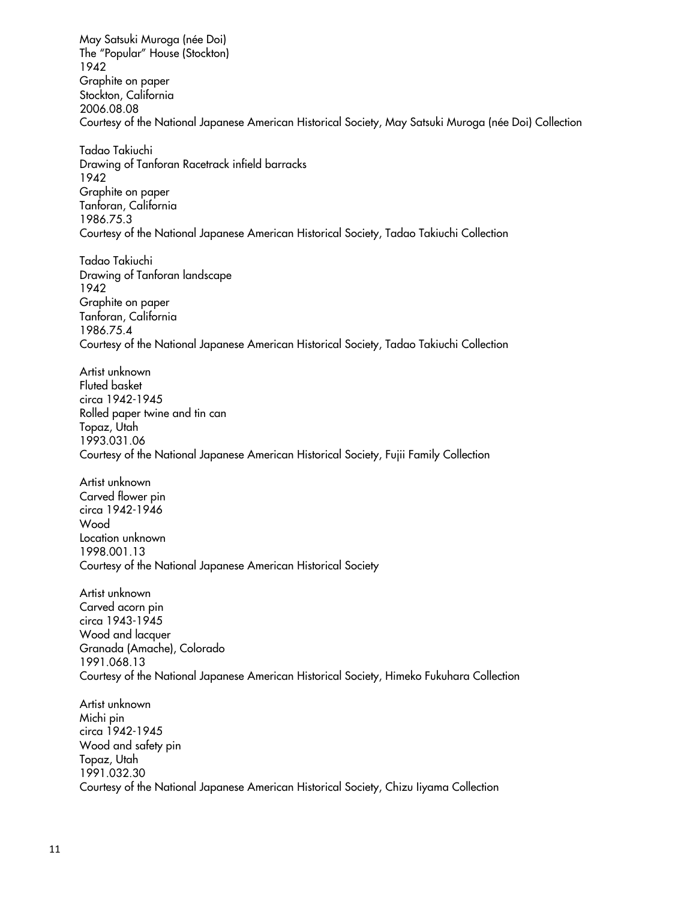May Satsuki Muroga (née Doi) Graphite on paper Courtesy of the National Japanese American Historical Society, May Satsuki Muroga (née Doi) Collection Drawing of Tanforan Racetrack infield barracks Graphite on paper Courtesy of the National Japanese American Historical Society, Tadao Takiuchi Collection Drawing of Tanforan landscape Graphite on paper Courtesy of the National Japanese American Historical Society, Tadao Takiuchi Collection Rolled paper twine and tin can Courtesy of the National Japanese American Historical Society, Fujii Family Collection Carved flower pin Courtesy of the National Japanese American Historical Society Carved acorn pin Wood and lacquer Granada (Amache), Colorado Courtesy of the National Japanese American Historical Society, Himeko Fukuhara Collection Wood and safety pin Courtesy of the National Japanese American Historical Society, Chizu Iiyama Collection The "Popular" House (Stockton) 1942 Stockton, California 2006.08.08 Tadao Takiuchi 1942 Tanforan, California 1986.75.3 Tadao Takiuchi 1942 Tanforan, California 1986.75.4 Artist unknown Fluted basket circa 1942-1945 Topaz, Utah 1993.031.06 Artist unknown circa 1942-1946 Wood Location unknown 1998.001.13 Artist unknown circa 1943-1945 1991.068.13 Artist unknown Michi pin circa 1942-1945 Topaz, Utah 1991.032.30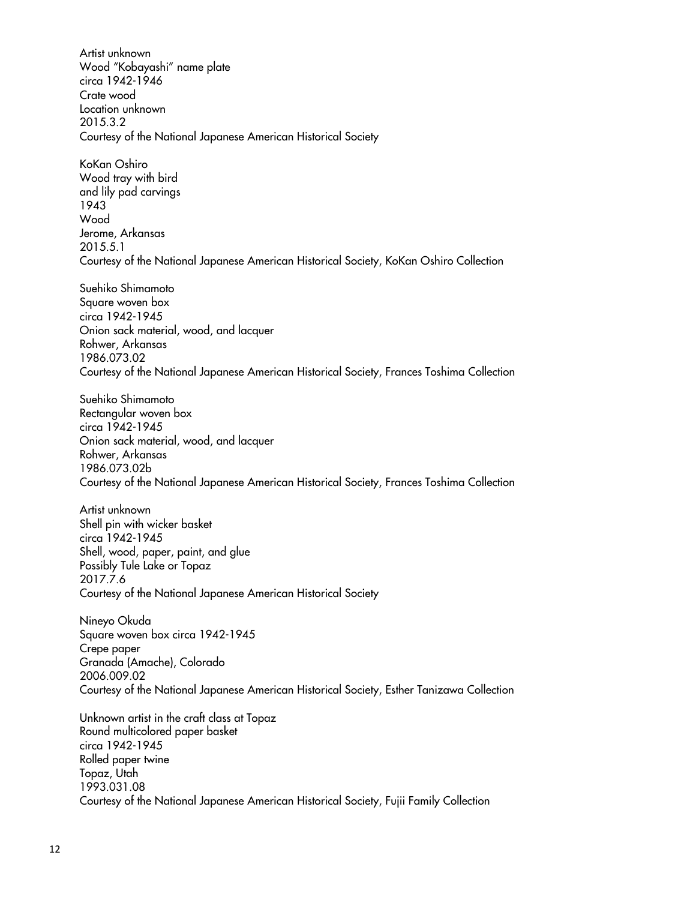Wood "Kobayashi" name plate Courtesy of the National Japanese American Historical Society Artist unknown circa 1942-1946 Crate wood Location unknown 2015.3.2

 KoKan Oshiro Wood tray with bird Courtesy of the National Japanese American Historical Society, KoKan Oshiro Collection and lily pad carvings 1943 Wood Jerome, Arkansas 2015.5.1

 Onion sack material, wood, and lacquer Courtesy of the National Japanese American Historical Society, Frances Toshima Collection Suehiko Shimamoto Square woven box circa 1942-1945 Rohwer, Arkansas 1986.073.02

 Onion sack material, wood, and lacquer Courtesy of the National Japanese American Historical Society, Frances Toshima Collection Suehiko Shimamoto Rectangular woven box circa 1942-1945 Rohwer, Arkansas 1986.073.02b

 Shell, wood, paper, paint, and glue Courtesy of the National Japanese American Historical Society Artist unknown Shell pin with wicker basket circa 1942-1945 Possibly Tule Lake or Topaz 2017.7.6

 Square woven box circa 1942-1945 Granada (Amache), Colorado Courtesy of the National Japanese American Historical Society, Esther Tanizawa Collection Nineyo Okuda Crepe paper 2006.009.02

 Unknown artist in the craft class at Topaz Courtesy of the National Japanese American Historical Society, Fujii Family Collection Round multicolored paper basket circa 1942-1945 Rolled paper twine Topaz, Utah 1993.031.08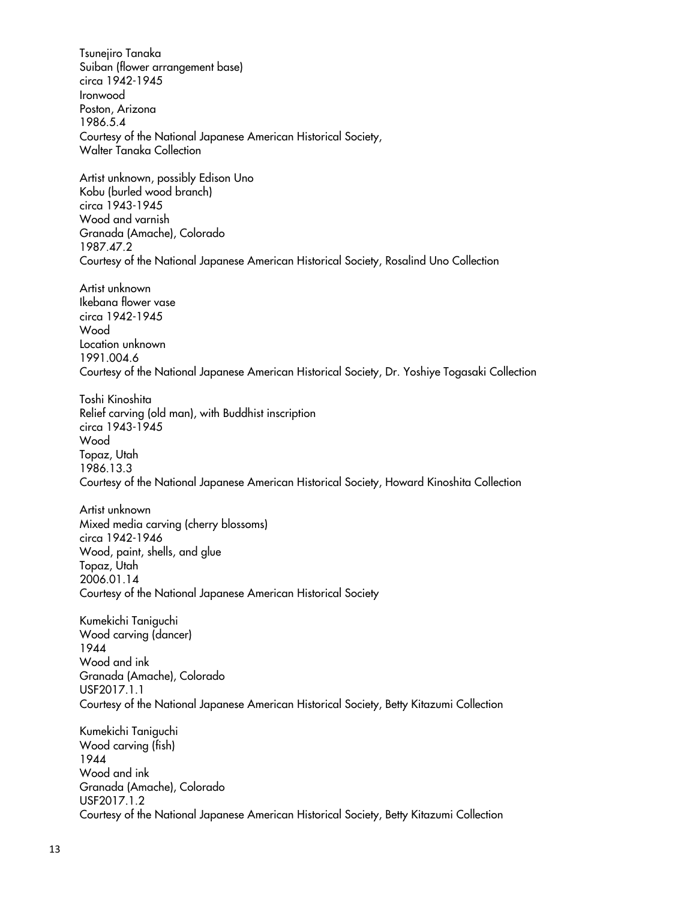Courtesy of the National Japanese American Historical Society, Walter Tanaka Collection Artist unknown, possibly Edison Uno Kobu (burled wood branch) Wood and varnish Granada (Amache), Colorado Courtesy of the National Japanese American Historical Society, Rosalind Uno Collection Ikebana flower vase Courtesy of the National Japanese American Historical Society, Dr. Yoshiye Togasaki Collection Courtesy of the National Japanese American Historical Society, Howard Kinoshita Collection Mixed media carving (cherry blossoms) Wood, paint, shells, and glue Courtesy of the National Japanese American Historical Society Kumekichi Taniguchi Wood carving (dancer) Wood and ink Granada (Amache), Colorado Courtesy of the National Japanese American Historical Society, Betty Kitazumi Collection Kumekichi Taniguchi Wood carving (fish) Wood and ink Granada (Amache), Colorado Courtesy of the National Japanese American Historical Society, Betty Kitazumi Collection Tsunejiro Tanaka Suiban (flower arrangement base) circa 1942-1945 Ironwood Poston, Arizona 1986.5.4 circa 1943-1945 1987.47.2 Artist unknown circa 1942-1945 Wood Location unknown 1991.004.6 Toshi Kinoshita Relief carving (old man), with Buddhist inscription circa 1943-1945 Wood Topaz, Utah 1986.13.3 Artist unknown circa 1942-1946 Topaz, Utah 2006.01.14 1944 USF2017.1.1 1944 USF2017.1.2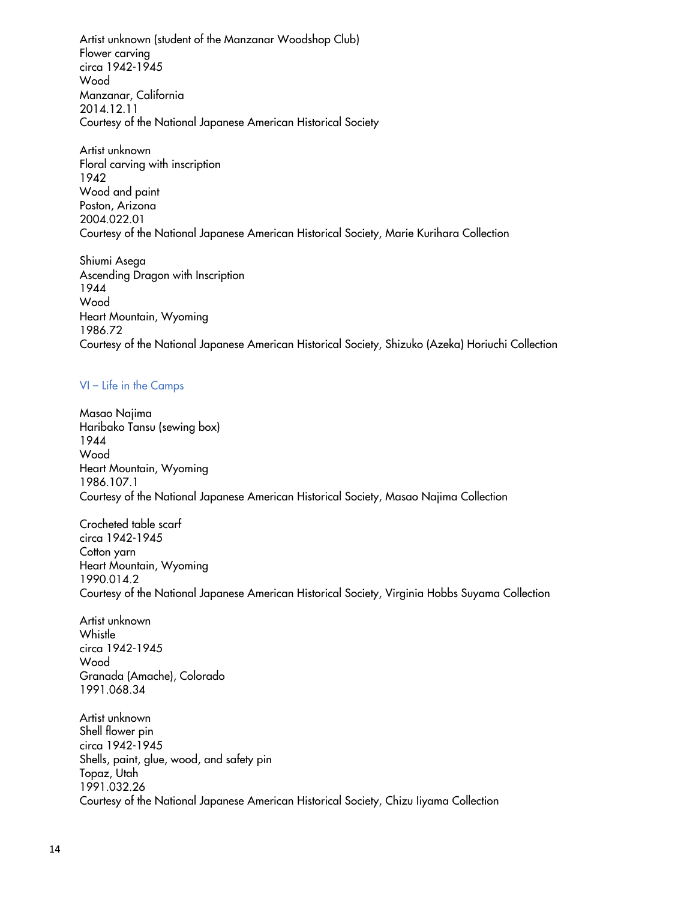Artist unknown (student of the Manzanar Woodshop Club) Courtesy of the National Japanese American Historical Society Flower carving circa 1942-1945 Wood Manzanar, California 2014.12.11

 Floral carving with inscription Wood and paint Courtesy of the National Japanese American Historical Society, Marie Kurihara Collection Artist unknown 1942 Poston, Arizona 2004.022.01

 Ascending Dragon with Inscription Heart Mountain, Wyoming Courtesy of the National Japanese American Historical Society, Shizuko (Azeka) Horiuchi Collection Shiumi Asega 1944 Wood 1986.72

# VI – Life in the Camps

 Haribako Tansu (sewing box) Heart Mountain, Wyoming Courtesy of the National Japanese American Historical Society, Masao Najima Collection Masao Najima 1944 Wood 1986.107.1

 Crocheted table scarf Heart Mountain, Wyoming Courtesy of the National Japanese American Historical Society, Virginia Hobbs Suyama Collection circa 1942-1945 Cotton yarn 1990.014.2

 Artist unknown Granada (Amache), Colorado Whistle circa 1942-1945 Wood 1991.068.34

 Shell flower pin Shells, paint, glue, wood, and safety pin Courtesy of the National Japanese American Historical Society, Chizu Iiyama Collection Artist unknown circa 1942-1945 Topaz, Utah 1991.032.26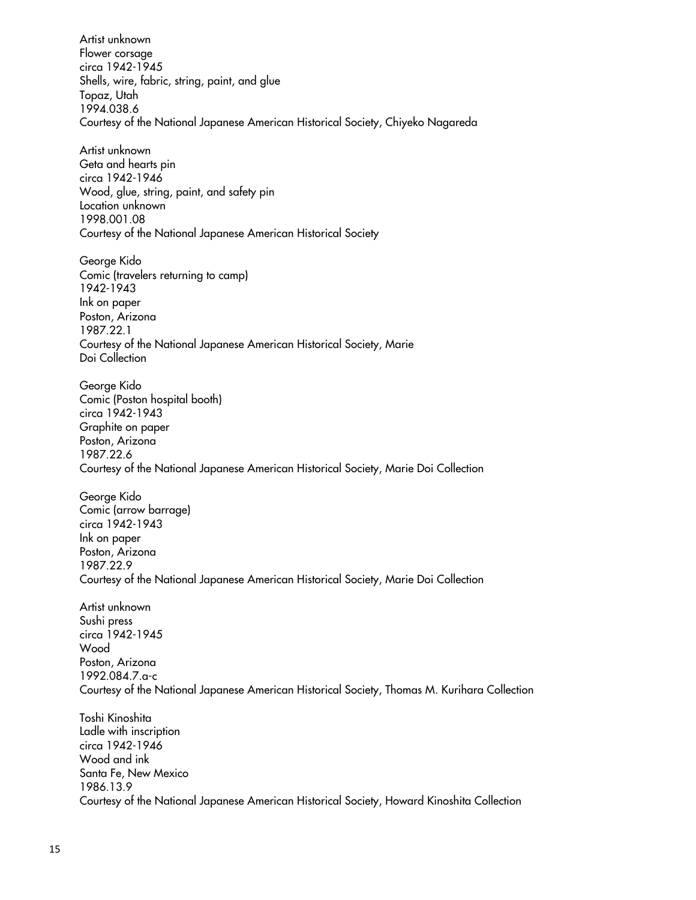Artist unknown Shells, wire, fabric, string, paint, and glue Courtesy of the National Japanese American Historical Society, Chiyeko Nagareda Geta and hearts pin Wood, glue, string, paint, and safety pin Courtesy of the National Japanese American Historical Society Comic (travelers returning to camp) Ink on paper Courtesy of the National Japanese American Historical Society, Marie Comic (Poston hospital booth) Flower corsage circa 1942-1945 Topaz, Utah 1994.038.6 Artist unknown circa 1942-1946 Location unknown 1998.001.08 George Kido 1942-1943 Poston, Arizona 1987.22.1 Doi Collection George Kido

 Courtesy of the National Japanese American Historical Society, Marie Doi Collection circa 1942-1943 Graphite on paper Poston, Arizona 1987.22.6

 Comic (arrow barrage) Ink on paper Courtesy of the National Japanese American Historical Society, Marie Doi Collection George Kido circa 1942-1943 Poston, Arizona 1987.22.9

 Courtesy of the National Japanese American Historical Society, Thomas M. Kurihara Collection Artist unknown Sushi press circa 1942-1945 Wood Poston, Arizona 1992.084.7.a-c

 Ladle with inscription Wood and ink Santa Fe, New Mexico Courtesy of the National Japanese American Historical Society, Howard Kinoshita Collection Toshi Kinoshita circa 1942-1946 1986.13.9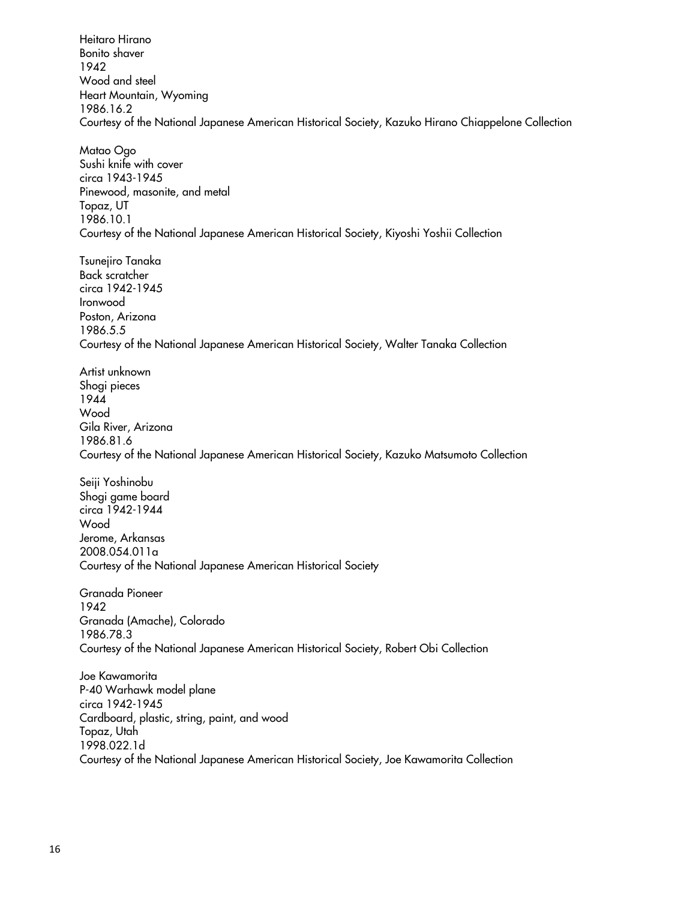Wood and steel Courtesy of the National Japanese American Historical Society, Kazuko Hirano Chiappelone Collection Sushi knife with cover Pinewood, masonite, and metal Courtesy of the National Japanese American Historical Society, Kiyoshi Yoshii Collection Courtesy of the National Japanese American Historical Society, Walter Tanaka Collection Artist unknown Gila River, Arizona Courtesy of the National Japanese American Historical Society, Kazuko Matsumoto Collection Shogi game board Courtesy of the National Japanese American Historical Society Granada (Amache), Colorado Courtesy of the National Japanese American Historical Society, Robert Obi Collection P-40 Warhawk model plane Cardboard, plastic, string, paint, and wood Courtesy of the National Japanese American Historical Society, Joe Kawamorita Collection Heitaro Hirano Bonito shaver 1942 Heart Mountain, Wyoming 1986.16.2 Matao Ogo circa 1943-1945 Topaz, UT 1986.10.1 Tsunejiro Tanaka Back scratcher circa 1942-1945 Ironwood Poston, Arizona 1986.5.5 Shogi pieces 1944 Wood 1986.81.6 Seiji Yoshinobu circa 1942-1944 Wood Jerome, Arkansas 2008.054.011a Granada Pioneer 1942 1986.78.3 Joe Kawamorita circa 1942-1945 Topaz, Utah 1998.022.1d